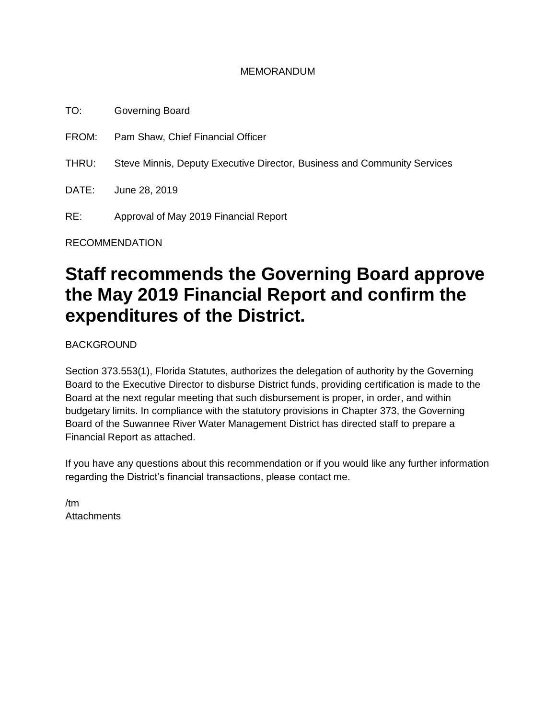#### MEMORANDUM

TO: Governing Board FROM: Pam Shaw, Chief Financial Officer THRU: Steve Minnis, Deputy Executive Director, Business and Community Services DATE: June 28, 2019 RE: Approval of May 2019 Financial Report

RECOMMENDATION

# **Staff recommends the Governing Board approve the May 2019 Financial Report and confirm the expenditures of the District.**

BACKGROUND

Section 373.553(1), Florida Statutes, authorizes the delegation of authority by the Governing Board to the Executive Director to disburse District funds, providing certification is made to the Board at the next regular meeting that such disbursement is proper, in order, and within budgetary limits. In compliance with the statutory provisions in Chapter 373, the Governing Board of the Suwannee River Water Management District has directed staff to prepare a Financial Report as attached.

If you have any questions about this recommendation or if you would like any further information regarding the District's financial transactions, please contact me.

/tm **Attachments**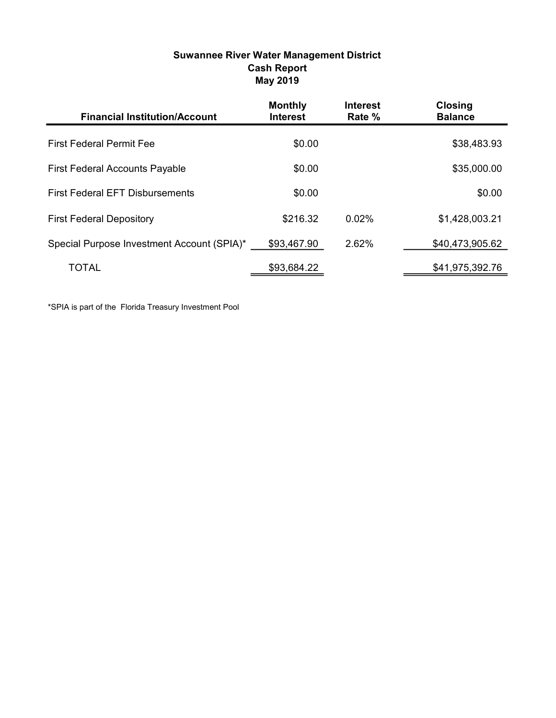| <b>Suwannee River Water Management District</b> |
|-------------------------------------------------|
| <b>Cash Report</b>                              |
| May 2019                                        |

| <b>Financial Institution/Account</b>       | <b>Monthly</b><br><b>Interest</b> | <b>Interest</b><br>Rate % | <b>Closing</b><br><b>Balance</b> |
|--------------------------------------------|-----------------------------------|---------------------------|----------------------------------|
| <b>First Federal Permit Fee</b>            | \$0.00                            |                           | \$38,483.93                      |
| <b>First Federal Accounts Payable</b>      | \$0.00                            |                           | \$35,000.00                      |
| <b>First Federal EFT Disbursements</b>     | \$0.00                            |                           | \$0.00                           |
| <b>First Federal Depository</b>            | \$216.32                          | 0.02%                     | \$1,428,003.21                   |
| Special Purpose Investment Account (SPIA)* | \$93,467.90                       | 2.62%                     | \$40,473,905.62                  |
| TOTAL                                      | \$93,684.22                       |                           | \$41,975,392.76                  |

\*SPIA is part of the Florida Treasury Investment Pool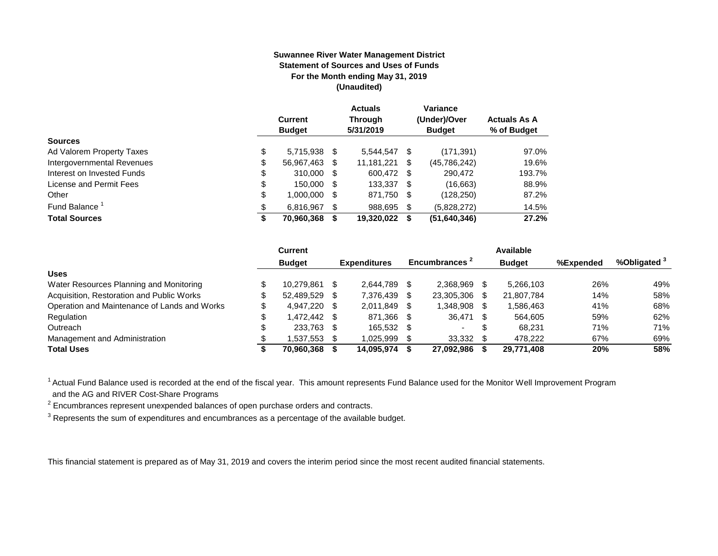#### **Suwannee River Water Management District Statement of Sources and Uses of Funds For the Month ending May 31, 2019 (Unaudited)**

|                            |    | <b>Current</b><br><b>Budget</b> |     | <b>Actuals</b><br><b>Through</b><br>5/31/2019 |      | Variance<br>(Under)/Over<br><b>Budget</b> | <b>Actuals As A</b><br>% of Budget |
|----------------------------|----|---------------------------------|-----|-----------------------------------------------|------|-------------------------------------------|------------------------------------|
| <b>Sources</b>             |    |                                 |     |                                               |      |                                           |                                    |
| Ad Valorem Property Taxes  | \$ | 5,715,938 \$                    |     | 5,544,547                                     | - \$ | (171, 391)                                | 97.0%                              |
| Intergovernmental Revenues | \$ | 56,967,463                      | \$. | 11,181,221                                    | S    | (45,786,242)                              | 19.6%                              |
| Interest on Invested Funds | \$ | 310,000 \$                      |     | 600.472 \$                                    |      | 290.472                                   | 193.7%                             |
| License and Permit Fees    | \$ | 150,000 \$                      |     | 133.337 \$                                    |      | (16,663)                                  | 88.9%                              |
| Other                      | \$ | 1,000,000                       | \$. | 871,750                                       | - \$ | (128, 250)                                | 87.2%                              |
| Fund Balance               | £. | 6.816.967                       | S   | 988.695                                       | S    | (5,828,272)                               | 14.5%                              |
| <b>Total Sources</b>       | \$ | 70,960,368                      |     | 19,320,022                                    | S    | (51,640,346)                              | 27.2%                              |

|                                              | <b>Current</b>     |      |                     |      |                           | Available     |           |                         |
|----------------------------------------------|--------------------|------|---------------------|------|---------------------------|---------------|-----------|-------------------------|
|                                              | <b>Budget</b>      |      | <b>Expenditures</b> |      | Encumbrances <sup>2</sup> | <b>Budget</b> | %Expended | %Obligated <sup>3</sup> |
| <b>Uses</b>                                  |                    |      |                     |      |                           |               |           |                         |
| Water Resources Planning and Monitoring      | 10.279.861         | - \$ | 2.644.789           |      | 2.368.969                 | 5.266.103     | 26%       | 49%                     |
| Acquisition, Restoration and Public Works    | 52.489.529         | - \$ | 7,376,439           |      | 23,305,306                | 21,807,784    | 14%       | 58%                     |
| Operation and Maintenance of Lands and Works | 4.947.220 \$       |      | 2.011.849           |      | 1.348.908                 | 1,586,463     | 41%       | 68%                     |
| Regulation                                   | \$<br>1.472.442 \$ |      | 871,366             | - \$ | 36,471                    | 564.605       | 59%       | 62%                     |
| Outreach                                     | 233.763 \$         |      | 165.532             | - \$ |                           | 68.231        | 71%       | 71%                     |
| Management and Administration                | 1,537,553          |      | 1,025,999           |      | 33,332                    | 478.222       | 67%       | 69%                     |
| <b>Total Uses</b>                            | 70.960.368         |      | 14.095.974          |      | 27.092.986                | 29.771.408    | 20%       | 58%                     |

<sup>1</sup> Actual Fund Balance used is recorded at the end of the fiscal year. This amount represents Fund Balance used for the Monitor Well Improvement Program and the AG and RIVER Cost-Share Programs

 $2$  Encumbrances represent unexpended balances of open purchase orders and contracts.

 $3$  Represents the sum of expenditures and encumbrances as a percentage of the available budget.

This financial statement is prepared as of May 31, 2019 and covers the interim period since the most recent audited financial statements.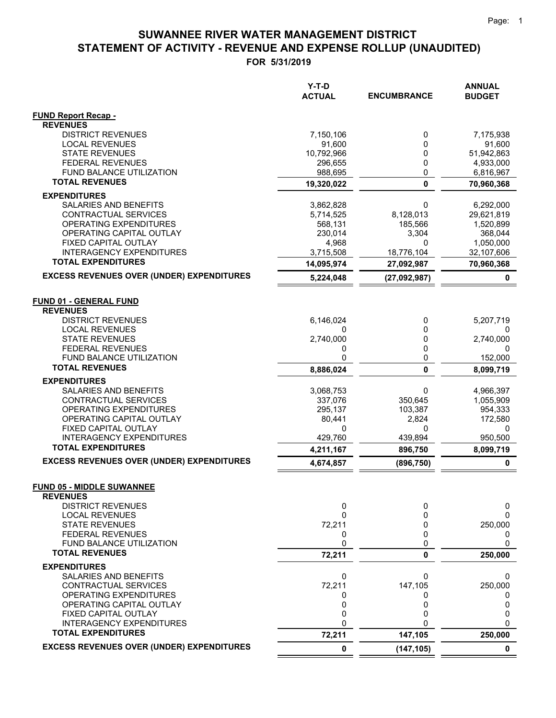## **STATEMENT OF ACTIVITY - REVENUE AND EXPENSE ROLLUP (UNAUDITED) SUWANNEE RIVER WATER MANAGEMENT DISTRICT**

**FOR 5/31/2019**

|                                                     | Y-T-D<br><b>ACTUAL</b> | <b>ENCUMBRANCE</b> | <b>ANNUAL</b><br><b>BUDGET</b> |
|-----------------------------------------------------|------------------------|--------------------|--------------------------------|
|                                                     |                        |                    |                                |
| <b>FUND Report Recap -</b><br><b>REVENUES</b>       |                        |                    |                                |
| <b>DISTRICT REVENUES</b>                            | 7,150,106              | 0                  | 7,175,938                      |
| <b>LOCAL REVENUES</b>                               | 91,600                 | 0                  | 91,600                         |
| <b>STATE REVENUES</b>                               | 10,792,966             | 0                  | 51,942,863                     |
| <b>FEDERAL REVENUES</b>                             | 296,655                | 0                  | 4,933,000                      |
| FUND BALANCE UTILIZATION                            | 988,695                | 0                  | 6,816,967                      |
| <b>TOTAL REVENUES</b>                               | 19,320,022             | $\mathbf 0$        | 70,960,368                     |
| <b>EXPENDITURES</b>                                 |                        |                    |                                |
| SALARIES AND BENEFITS                               | 3,862,828              | 0                  | 6,292,000                      |
| CONTRACTUAL SERVICES                                | 5,714,525              | 8,128,013          | 29,621,819                     |
| OPERATING EXPENDITURES<br>OPERATING CAPITAL OUTLAY  | 568,131<br>230,014     | 185,566<br>3,304   | 1,520,899<br>368,044           |
| FIXED CAPITAL OUTLAY                                | 4,968                  | 0                  | 1,050,000                      |
| <b>INTERAGENCY EXPENDITURES</b>                     | 3,715,508              | 18,776,104         | 32,107,606                     |
| <b>TOTAL EXPENDITURES</b>                           | 14,095,974             | 27,092,987         | 70,960,368                     |
| <b>EXCESS REVENUES OVER (UNDER) EXPENDITURES</b>    | 5,224,048              | (27,092,987)       | 0                              |
|                                                     |                        |                    |                                |
| <b>FUND 01 - GENERAL FUND</b><br><b>REVENUES</b>    |                        |                    |                                |
| <b>DISTRICT REVENUES</b>                            | 6,146,024              | 0                  | 5,207,719                      |
| <b>LOCAL REVENUES</b>                               | 0                      | 0                  |                                |
| <b>STATE REVENUES</b>                               | 2,740,000              | 0                  | 2,740,000                      |
| <b>FEDERAL REVENUES</b>                             | 0                      | 0                  | 0                              |
| FUND BALANCE UTILIZATION                            | 0                      | 0                  | 152,000                        |
| <b>TOTAL REVENUES</b>                               | 8,886,024              | 0                  | 8,099,719                      |
| <b>EXPENDITURES</b>                                 |                        |                    |                                |
| SALARIES AND BENEFITS                               | 3,068,753              | 0                  | 4,966,397                      |
| CONTRACTUAL SERVICES                                | 337,076                | 350,645            | 1,055,909                      |
| OPERATING EXPENDITURES<br>OPERATING CAPITAL OUTLAY  | 295,137<br>80,441      | 103,387<br>2,824   | 954,333<br>172,580             |
| FIXED CAPITAL OUTLAY                                | 0                      | 0                  | 0                              |
| <b>INTERAGENCY EXPENDITURES</b>                     | 429,760                | 439,894            | 950,500                        |
| <b>TOTAL EXPENDITURES</b>                           | 4,211,167              | 896,750            | 8,099,719                      |
| <b>EXCESS REVENUES OVER (UNDER) EXPENDITURES</b>    | 4,674,857              | (896, 750)         | 0                              |
|                                                     |                        |                    |                                |
| <b>FUND 05 - MIDDLE SUWANNEE</b><br><b>REVENUES</b> |                        |                    |                                |
| <b>DISTRICT REVENUES</b>                            | 0                      | 0                  | 0                              |
| <b>LOCAL REVENUES</b>                               | 0                      | 0                  | 0                              |
| <b>STATE REVENUES</b>                               | 72,211                 | 0                  | 250,000                        |
| <b>FEDERAL REVENUES</b>                             | 0                      | 0                  | 0                              |
| FUND BALANCE UTILIZATION                            | 0                      | 0                  | 0                              |
| <b>TOTAL REVENUES</b>                               | 72,211                 | 0                  | 250,000                        |
| <b>EXPENDITURES</b>                                 |                        |                    |                                |
| SALARIES AND BENEFITS                               | 0                      | 0                  | 0                              |
| CONTRACTUAL SERVICES                                | 72,211                 | 147,105            | 250,000                        |
| OPERATING EXPENDITURES<br>OPERATING CAPITAL OUTLAY  | 0<br>0                 | 0<br>0             | 0<br>0                         |
| FIXED CAPITAL OUTLAY                                | 0                      | 0                  | 0                              |
| <b>INTERAGENCY EXPENDITURES</b>                     | 0                      | O                  | $\Omega$                       |
| <b>TOTAL EXPENDITURES</b>                           | 72,211                 | 147,105            | 250,000                        |
| <b>EXCESS REVENUES OVER (UNDER) EXPENDITURES</b>    | 0                      | (147, 105)         | 0                              |
|                                                     |                        |                    |                                |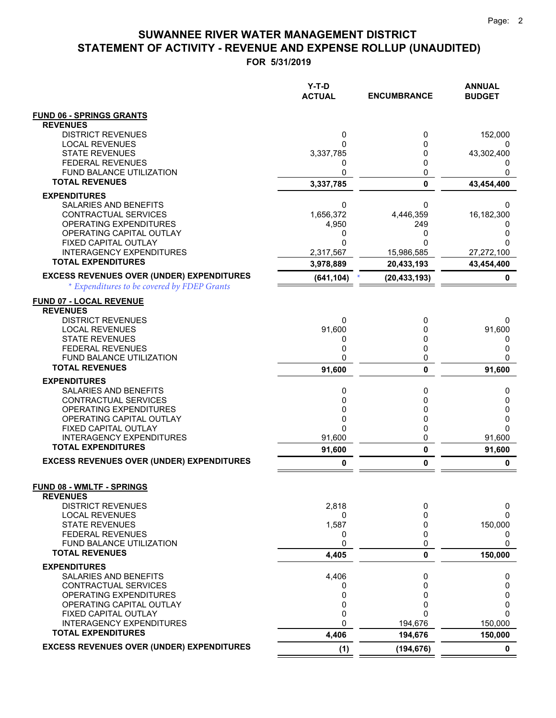$=$   $=$ 

### **FOR 5/31/2019 STATEMENT OF ACTIVITY - REVENUE AND EXPENSE ROLLUP (UNAUDITED) SUWANNEE RIVER WATER MANAGEMENT DISTRICT**

|                                                       | $Y-T-D$<br><b>ACTUAL</b> | <b>ENCUMBRANCE</b> | <b>ANNUAL</b><br><b>BUDGET</b> |
|-------------------------------------------------------|--------------------------|--------------------|--------------------------------|
| <b>FUND 06 - SPRINGS GRANTS</b>                       |                          |                    |                                |
| <b>REVENUES</b>                                       |                          |                    |                                |
| <b>DISTRICT REVENUES</b>                              | 0                        | 0                  | 152,000                        |
| <b>LOCAL REVENUES</b><br><b>STATE REVENUES</b>        | 0                        | 0<br>0             |                                |
| <b>FEDERAL REVENUES</b>                               | 3,337,785<br>0           | 0                  | 43,302,400<br>0                |
| FUND BALANCE UTILIZATION                              | 0                        | 0                  | 0                              |
| <b>TOTAL REVENUES</b>                                 | 3,337,785                | $\mathbf{0}$       | 43,454,400                     |
| <b>EXPENDITURES</b>                                   |                          |                    |                                |
| SALARIES AND BENEFITS                                 | 0                        | 0                  | 0                              |
| CONTRACTUAL SERVICES                                  | 1,656,372                | 4,446,359          | 16,182,300                     |
| OPERATING EXPENDITURES<br>OPERATING CAPITAL OUTLAY    | 4,950                    | 249<br>0           | 0                              |
| FIXED CAPITAL OUTLAY                                  | 0<br>0                   | U                  | 0<br>0                         |
| <b>INTERAGENCY EXPENDITURES</b>                       | 2,317,567                | 15,986,585         | 27,272,100                     |
| <b>TOTAL EXPENDITURES</b>                             | 3,978,889                | 20,433,193         | 43,454,400                     |
| <b>EXCESS REVENUES OVER (UNDER) EXPENDITURES</b>      | (641, 104)               | (20, 433, 193)     | 0                              |
| * Expenditures to be covered by FDEP Grants           |                          |                    |                                |
| <b>FUND 07 - LOCAL REVENUE</b>                        |                          |                    |                                |
| <b>REVENUES</b>                                       |                          |                    |                                |
| <b>DISTRICT REVENUES</b>                              | 0                        | 0                  | 0                              |
| <b>LOCAL REVENUES</b><br><b>STATE REVENUES</b>        | 91,600                   | 0                  | 91,600                         |
| <b>FEDERAL REVENUES</b>                               | 0<br>0                   | 0<br>0             | 0<br>0                         |
| FUND BALANCE UTILIZATION                              | 0                        | 0                  | 0                              |
| <b>TOTAL REVENUES</b>                                 | 91,600                   | $\mathbf{0}$       | 91,600                         |
| <b>EXPENDITURES</b>                                   |                          |                    |                                |
| SALARIES AND BENEFITS                                 | 0                        | 0                  | 0                              |
| CONTRACTUAL SERVICES                                  | 0                        | 0                  | 0                              |
| OPERATING EXPENDITURES                                | 0                        | 0                  | 0                              |
| OPERATING CAPITAL OUTLAY<br>FIXED CAPITAL OUTLAY      | 0<br>0                   | 0<br>0             | 0<br>0                         |
| <b>INTERAGENCY EXPENDITURES</b>                       | 91,600                   | 0                  | 91,600                         |
| <b>TOTAL EXPENDITURES</b>                             | 91,600                   | 0                  | 91,600                         |
| <b>EXCESS REVENUES OVER (UNDER) EXPENDITURES</b>      | 0                        | 0                  | 0                              |
|                                                       |                          |                    |                                |
| FUND 08 - WMLTF - SPRINGS                             |                          |                    |                                |
| <b>REVENUES</b>                                       |                          |                    |                                |
| <b>DISTRICT REVENUES</b><br><b>LOCAL REVENUES</b>     | 2,818<br>0               | 0<br>0             | 0<br>0                         |
| <b>STATE REVENUES</b>                                 | 1,587                    | 0                  | 150,000                        |
| <b>FEDERAL REVENUES</b>                               | 0                        | 0                  | 0                              |
| FUND BALANCE UTILIZATION                              | 0                        | 0                  | 0                              |
| <b>TOTAL REVENUES</b>                                 | 4,405                    | 0                  | 150,000                        |
| <b>EXPENDITURES</b>                                   |                          |                    |                                |
| SALARIES AND BENEFITS                                 | 4,406                    | 0                  | 0                              |
| <b>CONTRACTUAL SERVICES</b><br>OPERATING EXPENDITURES | 0<br>0                   | 0<br>0             | 0<br>0                         |
| OPERATING CAPITAL OUTLAY                              | 0                        | 0                  | 0                              |
| FIXED CAPITAL OUTLAY                                  | 0                        | 0                  | 0                              |
| <b>INTERAGENCY EXPENDITURES</b>                       | 0                        | 194,676            | 150,000                        |
| <b>TOTAL EXPENDITURES</b>                             | 4,406                    | 194,676            | 150,000                        |
| <b>EXCESS REVENUES OVER (UNDER) EXPENDITURES</b>      | (1)                      | (194, 676)         | $\mathbf 0$                    |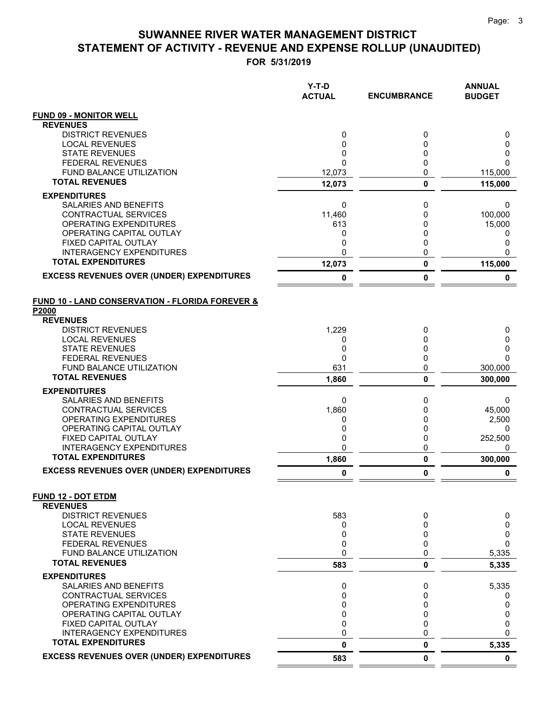### **STATEMENT OF ACTIVITY - REVENUE AND EXPENSE ROLLUP (UNAUDITED) SUWANNEE RIVER WATER MANAGEMENT DISTRICT**

**FOR 5/31/2019**

|                                                            | Y-T-D<br><b>ACTUAL</b> | <b>ENCUMBRANCE</b> | <b>ANNUAL</b><br><b>BUDGET</b> |
|------------------------------------------------------------|------------------------|--------------------|--------------------------------|
| <b>FUND 09 - MONITOR WELL</b>                              |                        |                    |                                |
| <b>REVENUES</b>                                            |                        |                    |                                |
| <b>DISTRICT REVENUES</b>                                   | 0                      | 0                  | 0                              |
| <b>LOCAL REVENUES</b><br><b>STATE REVENUES</b>             | 0<br>0                 | 0<br>0             | 0<br>0                         |
| <b>FEDERAL REVENUES</b>                                    | $\mathbf{0}$           | 0                  | $\Omega$                       |
| FUND BALANCE UTILIZATION                                   | 12,073                 | 0                  | 115,000                        |
| <b>TOTAL REVENUES</b>                                      | 12,073                 | 0                  | 115,000                        |
| <b>EXPENDITURES</b>                                        |                        |                    |                                |
| <b>SALARIES AND BENEFITS</b>                               | 0                      | 0                  | 0                              |
| CONTRACTUAL SERVICES                                       | 11,460                 | 0                  | 100,000                        |
| <b>OPERATING EXPENDITURES</b>                              | 613                    | 0                  | 15,000                         |
| OPERATING CAPITAL OUTLAY<br>FIXED CAPITAL OUTLAY           | 0<br>0                 | 0<br>0             | 0<br>0                         |
| INTERAGENCY EXPENDITURES                                   | 0                      | 0                  | $\Omega$                       |
| <b>TOTAL EXPENDITURES</b>                                  | 12,073                 | 0                  | 115,000                        |
| <b>EXCESS REVENUES OVER (UNDER) EXPENDITURES</b>           | 0                      | 0                  | 0                              |
| <b>FUND 10 - LAND CONSERVATION - FLORIDA FOREVER &amp;</b> |                        |                    |                                |
| P2000                                                      |                        |                    |                                |
| <b>REVENUES</b>                                            |                        |                    |                                |
| <b>DISTRICT REVENUES</b><br><b>LOCAL REVENUES</b>          | 1,229<br>0             | 0<br>0             | 0<br>0                         |
| <b>STATE REVENUES</b>                                      | 0                      | 0                  | 0                              |
| <b>FEDERAL REVENUES</b>                                    | 0                      | 0                  | $\Omega$                       |
| FUND BALANCE UTILIZATION                                   | 631                    | 0                  | 300,000                        |
| <b>TOTAL REVENUES</b>                                      | 1,860                  | 0                  | 300,000                        |
| <b>EXPENDITURES</b>                                        |                        |                    |                                |
| SALARIES AND BENEFITS                                      | 0                      | 0                  | 0                              |
| CONTRACTUAL SERVICES<br>OPERATING EXPENDITURES             | 1,860<br>0             | 0<br>0             | 45,000<br>2,500                |
| OPERATING CAPITAL OUTLAY                                   | 0                      | 0                  | 0                              |
| FIXED CAPITAL OUTLAY                                       | 0                      | 0                  | 252,500                        |
| <b>INTERAGENCY EXPENDITURES</b>                            | $\mathbf{0}$           | 0                  | 0                              |
| <b>TOTAL EXPENDITURES</b>                                  | 1,860                  | 0                  | 300,000                        |
| <b>EXCESS REVENUES OVER (UNDER) EXPENDITURES</b>           | 0                      | 0                  | 0                              |
| <b>FUND 12 - DOT ETDM</b>                                  |                        |                    |                                |
| <b>REVENUES</b><br><b>DISTRICT REVENUES</b>                | 583                    | 0                  | 0                              |
| <b>LOCAL REVENUES</b>                                      | 0                      | 0                  | 0                              |
| <b>STATE REVENUES</b>                                      | 0                      | 0                  | 0                              |
| <b>FEDERAL REVENUES</b>                                    | 0                      | 0                  | 0                              |
| <b>FUND BALANCE UTILIZATION</b>                            | 0                      | 0                  | 5,335                          |
| <b>TOTAL REVENUES</b>                                      | 583                    | 0                  | 5,335                          |
| <b>EXPENDITURES</b>                                        |                        |                    |                                |
| <b>SALARIES AND BENEFITS</b><br>CONTRACTUAL SERVICES       | 0<br>0                 | 0<br>0             | 5,335<br>0                     |
| <b>OPERATING EXPENDITURES</b>                              | $\mathbf 0$            | 0                  | 0                              |
| OPERATING CAPITAL OUTLAY                                   | 0                      | 0                  | 0                              |
| FIXED CAPITAL OUTLAY                                       | $\mathbf{0}$           | 0                  | 0                              |
| <b>INTERAGENCY EXPENDITURES</b>                            | 0                      | 0                  | 0                              |
| <b>TOTAL EXPENDITURES</b>                                  | 0                      | 0                  | 5,335                          |
| <b>EXCESS REVENUES OVER (UNDER) EXPENDITURES</b>           | 583                    | 0                  | $\mathbf 0$                    |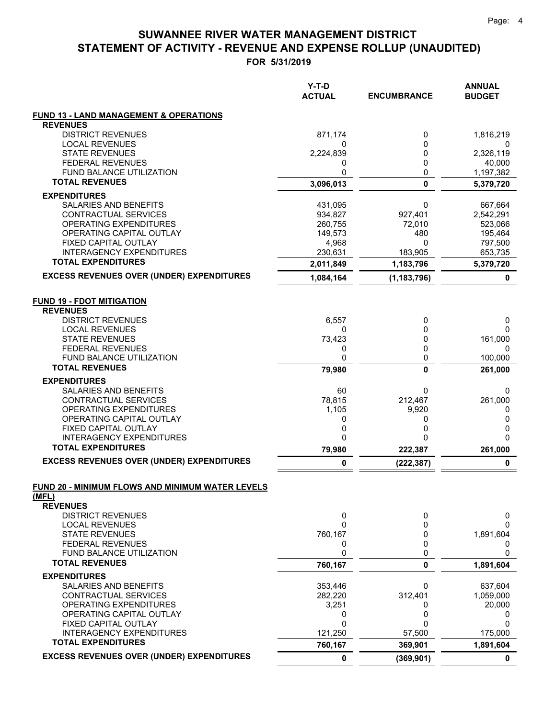### **FOR 5/31/2019 STATEMENT OF ACTIVITY - REVENUE AND EXPENSE ROLLUP (UNAUDITED) SUWANNEE RIVER WATER MANAGEMENT DISTRICT**

|                                                                              | $Y-T-D$<br><b>ACTUAL</b> | <b>ENCUMBRANCE</b> | <b>ANNUAL</b><br><b>BUDGET</b> |
|------------------------------------------------------------------------------|--------------------------|--------------------|--------------------------------|
| <b>FUND 13 - LAND MANAGEMENT &amp; OPERATIONS</b>                            |                          |                    |                                |
| <b>REVENUES</b>                                                              |                          |                    |                                |
| <b>DISTRICT REVENUES</b>                                                     | 871,174                  | 0                  | 1,816,219                      |
| <b>LOCAL REVENUES</b>                                                        | 0                        | 0                  | 0                              |
| <b>STATE REVENUES</b>                                                        | 2,224,839                | 0                  | 2,326,119                      |
| <b>FEDERAL REVENUES</b>                                                      | 0                        | 0                  | 40,000                         |
| FUND BALANCE UTILIZATION<br><b>TOTAL REVENUES</b>                            | 0                        | 0                  | 1,197,382                      |
|                                                                              | 3,096,013                | 0                  | 5,379,720                      |
| <b>EXPENDITURES</b>                                                          |                          |                    |                                |
| SALARIES AND BENEFITS                                                        | 431,095                  | 0                  | 667,664                        |
| CONTRACTUAL SERVICES                                                         | 934,827                  | 927,401            | 2,542,291                      |
| OPERATING EXPENDITURES                                                       | 260,755                  | 72,010             | 523,066                        |
| OPERATING CAPITAL OUTLAY                                                     | 149,573                  | 480                | 195,464                        |
| FIXED CAPITAL OUTLAY                                                         | 4,968                    | 0                  | 797,500                        |
| <b>INTERAGENCY EXPENDITURES</b><br><b>TOTAL EXPENDITURES</b>                 | 230,631                  | 183,905            | 653,735                        |
|                                                                              | 2,011,849                | 1,183,796          | 5,379,720                      |
| <b>EXCESS REVENUES OVER (UNDER) EXPENDITURES</b>                             | 1,084,164                | (1, 183, 796)      | 0                              |
| <b>FUND 19 - FDOT MITIGATION</b><br><b>REVENUES</b>                          |                          |                    |                                |
| <b>DISTRICT REVENUES</b>                                                     | 6,557                    | 0                  | 0                              |
| <b>LOCAL REVENUES</b>                                                        | 0                        | 0                  | 0                              |
| <b>STATE REVENUES</b>                                                        | 73,423                   | 0                  | 161,000                        |
| <b>FEDERAL REVENUES</b>                                                      | 0                        | 0                  | 0                              |
| FUND BALANCE UTILIZATION                                                     | 0                        | 0                  | 100,000                        |
| <b>TOTAL REVENUES</b>                                                        | 79,980                   | 0                  | 261,000                        |
| <b>EXPENDITURES</b>                                                          |                          |                    |                                |
| SALARIES AND BENEFITS                                                        | 60                       | 0                  | 0                              |
| CONTRACTUAL SERVICES                                                         | 78,815                   | 212,467            | 261,000                        |
| OPERATING EXPENDITURES                                                       | 1,105                    | 9,920              | 0                              |
| OPERATING CAPITAL OUTLAY                                                     | 0                        | 0                  | 0                              |
| FIXED CAPITAL OUTLAY                                                         | 0                        | 0                  | 0                              |
| <b>INTERAGENCY EXPENDITURES</b>                                              | 0                        | 0                  | 0                              |
| <b>TOTAL EXPENDITURES</b>                                                    | 79,980                   | 222,387            | 261,000                        |
| <b>EXCESS REVENUES OVER (UNDER) EXPENDITURES</b>                             | 0                        | (222, 387)         | 0                              |
| FUND 20 - MINIMUM FLOWS AND MINIMUM WATER LEVELS<br>(MFL)<br><b>REVENUES</b> |                          |                    |                                |
| <b>DISTRICT REVENUES</b>                                                     | 0                        | 0                  | 0                              |
| <b>LOCAL REVENUES</b>                                                        | 0                        | 0                  | $\Omega$                       |
| <b>STATE REVENUES</b>                                                        | 760,167                  | 0                  | 1,891,604                      |
| <b>FEDERAL REVENUES</b>                                                      | 0                        | 0                  | 0                              |
| FUND BALANCE UTILIZATION                                                     | 0                        | 0                  | 0                              |
| <b>TOTAL REVENUES</b>                                                        | 760,167                  | 0                  | 1,891,604                      |
| <b>EXPENDITURES</b>                                                          |                          |                    |                                |
| SALARIES AND BENEFITS                                                        | 353,446                  | 0                  | 637,604                        |
| CONTRACTUAL SERVICES                                                         | 282,220                  | 312,401            | 1,059,000                      |
| OPERATING EXPENDITURES                                                       | 3,251                    | 0                  | 20,000                         |
| OPERATING CAPITAL OUTLAY                                                     | 0                        | 0                  | 0                              |
| FIXED CAPITAL OUTLAY                                                         | 0                        | 0                  | 0                              |
| <b>INTERAGENCY EXPENDITURES</b><br><b>TOTAL EXPENDITURES</b>                 | 121,250<br>760,167       | 57,500<br>369,901  | 175,000<br>1,891,604           |
| <b>EXCESS REVENUES OVER (UNDER) EXPENDITURES</b>                             | 0                        |                    |                                |
|                                                                              |                          | (369, 901)         | 0                              |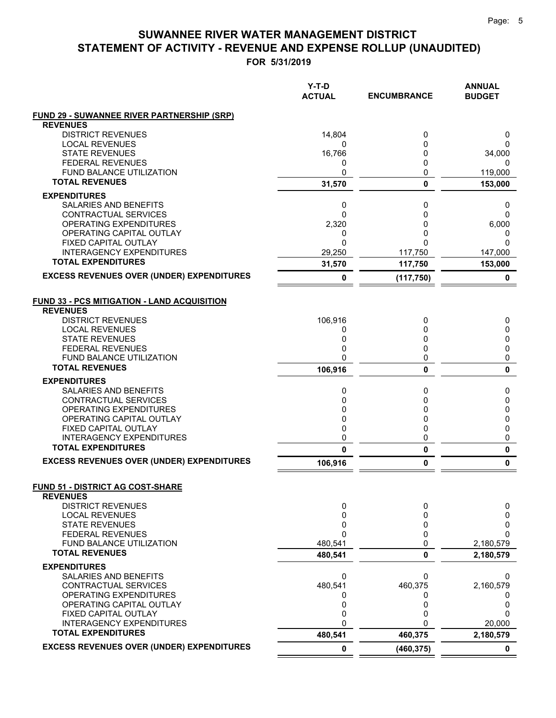### **STATEMENT OF ACTIVITY - REVENUE AND EXPENSE ROLLUP (UNAUDITED) SUWANNEE RIVER WATER MANAGEMENT DISTRICT**

**FOR 5/31/2019**

|                                                              | $Y-T-D$<br><b>ACTUAL</b> | <b>ENCUMBRANCE</b> | <b>ANNUAL</b><br><b>BUDGET</b> |
|--------------------------------------------------------------|--------------------------|--------------------|--------------------------------|
| <b>FUND 29 - SUWANNEE RIVER PARTNERSHIP (SRP)</b>            |                          |                    |                                |
| <b>REVENUES</b>                                              |                          |                    |                                |
| <b>DISTRICT REVENUES</b><br><b>LOCAL REVENUES</b>            | 14,804<br>0              | 0<br>0             | 0<br>0                         |
| <b>STATE REVENUES</b>                                        | 16,766                   | 0                  | 34,000                         |
| <b>FEDERAL REVENUES</b>                                      | 0                        | 0                  | 0                              |
| <b>FUND BALANCE UTILIZATION</b>                              | 0                        | 0                  | 119,000                        |
| <b>TOTAL REVENUES</b>                                        | 31,570                   | 0                  | 153,000                        |
| <b>EXPENDITURES</b>                                          |                          |                    |                                |
| <b>SALARIES AND BENEFITS</b>                                 | 0                        | 0                  | 0                              |
| CONTRACTUAL SERVICES                                         | 0                        | 0                  | 0                              |
| OPERATING EXPENDITURES                                       | 2,320                    | 0                  | 6,000                          |
| OPERATING CAPITAL OUTLAY                                     | 0                        | 0                  | 0                              |
| FIXED CAPITAL OUTLAY                                         | $\mathbf{0}$             | 0                  | $\Omega$                       |
| <b>INTERAGENCY EXPENDITURES</b>                              | 29,250                   | 117,750            | 147,000                        |
| <b>TOTAL EXPENDITURES</b>                                    | 31,570                   | 117,750            | 153,000                        |
| <b>EXCESS REVENUES OVER (UNDER) EXPENDITURES</b>             | 0                        | (117, 750)         | 0                              |
| <b>FUND 33 - PCS MITIGATION - LAND ACQUISITION</b>           |                          |                    |                                |
| <b>REVENUES</b>                                              |                          |                    |                                |
| <b>DISTRICT REVENUES</b>                                     | 106,916                  | 0                  | 0                              |
| <b>LOCAL REVENUES</b>                                        | 0                        | 0                  | 0                              |
| <b>STATE REVENUES</b>                                        | 0                        | 0                  | 0                              |
| <b>FEDERAL REVENUES</b>                                      | 0                        | 0                  | 0                              |
| <b>FUND BALANCE UTILIZATION</b>                              | 0                        | 0                  | 0                              |
| <b>TOTAL REVENUES</b>                                        | 106,916                  | 0                  | $\mathbf{0}$                   |
| <b>EXPENDITURES</b>                                          |                          |                    |                                |
| SALARIES AND BENEFITS                                        | 0                        | 0                  | 0                              |
| CONTRACTUAL SERVICES                                         | 0                        | 0                  | 0                              |
| OPERATING EXPENDITURES                                       | 0                        | 0                  | 0                              |
| OPERATING CAPITAL OUTLAY                                     | 0                        | 0                  | 0                              |
| FIXED CAPITAL OUTLAY<br><b>INTERAGENCY EXPENDITURES</b>      | 0                        | 0                  | 0                              |
| <b>TOTAL EXPENDITURES</b>                                    | 0<br>$\mathbf{0}$        | 0<br>0             | 0<br>$\pmb{0}$                 |
| <b>EXCESS REVENUES OVER (UNDER) EXPENDITURES</b>             | 106,916                  | 0                  | 0                              |
|                                                              |                          |                    |                                |
| <b>FUND 51 - DISTRICT AG COST-SHARE</b>                      |                          |                    |                                |
| <b>REVENUES</b><br><b>DISTRICT REVENUES</b>                  | 0                        | 0                  | 0                              |
| <b>LOCAL REVENUES</b>                                        | $\mathbf 0$              | 0                  | 0                              |
| <b>STATE REVENUES</b>                                        | $\mathbf 0$              | 0                  | 0                              |
| <b>FEDERAL REVENUES</b>                                      | $\mathbf{0}$             | 0                  | $\Omega$                       |
| FUND BALANCE UTILIZATION                                     | 480.541                  | 0                  | 2,180,579                      |
| <b>TOTAL REVENUES</b>                                        | 480,541                  | 0                  | 2,180,579                      |
| <b>EXPENDITURES</b>                                          |                          |                    |                                |
| <b>SALARIES AND BENEFITS</b>                                 | 0                        | 0                  | 0                              |
| <b>CONTRACTUAL SERVICES</b>                                  | 480,541                  | 460,375            | 2,160,579                      |
| OPERATING EXPENDITURES                                       | 0                        | 0                  | 0                              |
| OPERATING CAPITAL OUTLAY                                     | 0                        | 0                  | 0                              |
| FIXED CAPITAL OUTLAY                                         | 0                        | 0                  | $\Omega$                       |
| <b>INTERAGENCY EXPENDITURES</b><br><b>TOTAL EXPENDITURES</b> | 0                        | U                  | 20,000                         |
| <b>EXCESS REVENUES OVER (UNDER) EXPENDITURES</b>             | 480,541                  | 460,375            | 2,180,579                      |
|                                                              | 0                        | (460, 375)         | 0                              |